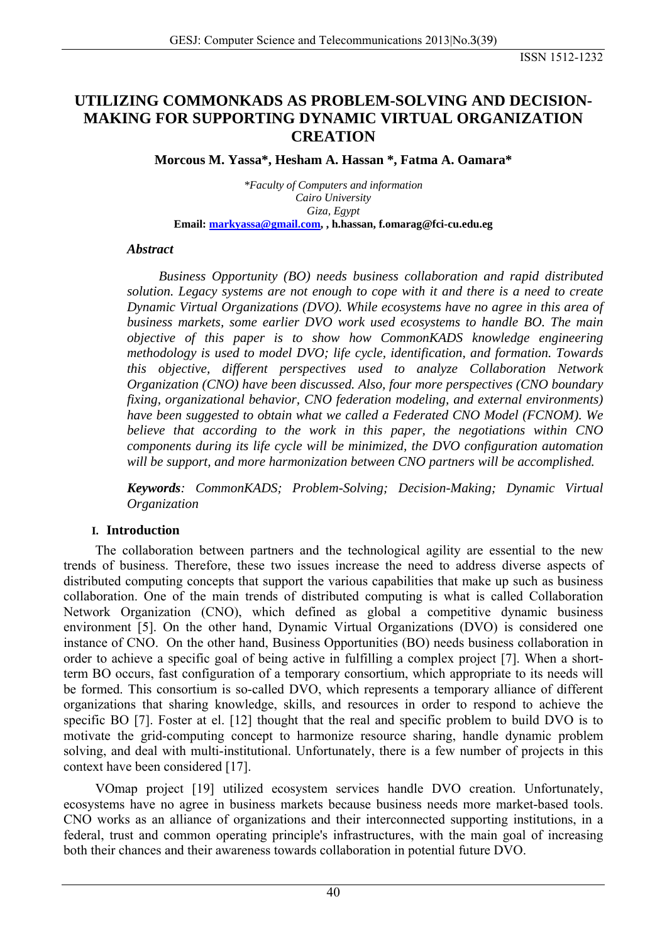# **UTILIZING COMMONKADS AS PROBLEM-SOLVING AND DECISION-MAKING FOR SUPPORTING DYNAMIC VIRTUAL ORGANIZATION CREATION**

**Morcous M. Yassa\*, Hesham A. Hassan \*, Fatma A. Oamara\***

*\*Faculty of Computers and information Cairo University Giza, Egypt*  **Email: [markyassa@gmail.com](mailto:markyassa@gmail.com), , h.hassan, f.omarag@fci-cu.edu.eg**

### *Abstract*

*Business Opportunity (BO) needs business collaboration and rapid distributed solution. Legacy systems are not enough to cope with it and there is a need to create Dynamic Virtual Organizations (DVO). While ecosystems have no agree in this area of business markets, some earlier DVO work used ecosystems to handle BO. The main objective of this paper is to show how CommonKADS knowledge engineering methodology is used to model DVO; life cycle, identification, and formation. Towards this objective, different perspectives used to analyze Collaboration Network Organization (CNO) have been discussed. Also, four more perspectives (CNO boundary fixing, organizational behavior, CNO federation modeling, and external environments) have been suggested to obtain what we called a Federated CNO Model (FCNOM). We believe that according to the work in this paper, the negotiations within CNO components during its life cycle will be minimized, the DVO configuration automation will be support, and more harmonization between CNO partners will be accomplished.* 

*Keywords: CommonKADS; Problem-Solving; Decision-Making; Dynamic Virtual Organization* 

### **I. Introduction**

The collaboration between partners and the technological agility are essential to the new trends of business. Therefore, these two issues increase the need to address diverse aspects of distributed computing concepts that support the various capabilities that make up such as business collaboration. One of the main trends of distributed computing is what is called Collaboration Network Organization (CNO), which defined as global a competitive dynamic business environment [5]. On the other hand, Dynamic Virtual Organizations (DVO) is considered one instance of CNO. On the other hand, Business Opportunities (BO) needs business collaboration in order to achieve a specific goal of being active in fulfilling a complex project [7]. When a shortterm BO occurs, fast configuration of a temporary consortium, which appropriate to its needs will be formed. This consortium is so-called DVO, which represents a temporary alliance of different organizations that sharing knowledge, skills, and resources in order to respond to achieve the specific BO [7]. Foster at el. [12] thought that the real and specific problem to build DVO is to motivate the grid-computing concept to harmonize resource sharing, handle dynamic problem solving, and deal with multi-institutional. Unfortunately, there is a few number of projects in this context have been considered [17].

VOmap project [19] utilized ecosystem services handle DVO creation. Unfortunately, ecosystems have no agree in business markets because business needs more market-based tools. CNO works as an alliance of organizations and their interconnected supporting institutions, in a federal, trust and common operating principle's infrastructures, with the main goal of increasing both their chances and their awareness towards collaboration in potential future DVO.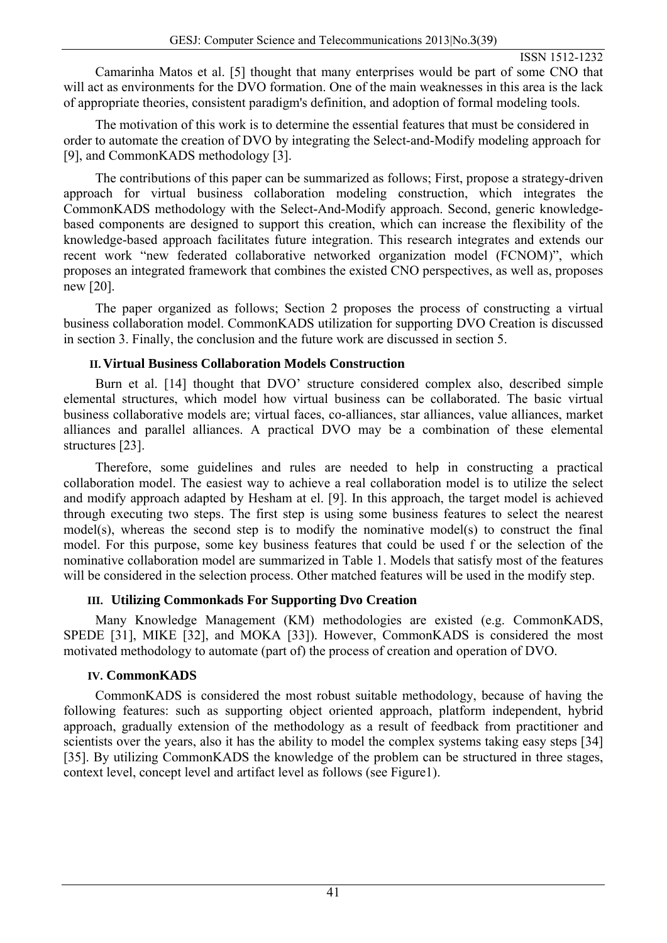Camarinha Matos et al. [5] thought that many enterprises would be part of some CNO that will act as environments for the DVO formation. One of the main weaknesses in this area is the lack of appropriate theories, consistent paradigm's definition, and adoption of formal modeling tools.

The motivation of this work is to determine the essential features that must be considered in order to automate the creation of DVO by integrating the Select-and-Modify modeling approach for [9], and CommonKADS methodology [3].

The contributions of this paper can be summarized as follows; First, propose a strategy-driven approach for virtual business collaboration modeling construction, which integrates the CommonKADS methodology with the Select-And-Modify approach. Second, generic knowledgebased components are designed to support this creation, which can increase the flexibility of the knowledge-based approach facilitates future integration. This research integrates and extends our recent work "new federated collaborative networked organization model (FCNOM)", which proposes an integrated framework that combines the existed CNO perspectives, as well as, proposes new [20].

The paper organized as follows; Section 2 proposes the process of constructing a virtual business collaboration model. CommonKADS utilization for supporting DVO Creation is discussed in section 3. Finally, the conclusion and the future work are discussed in section 5.

## **II. Virtual Business Collaboration Models Construction**

Burn et al. [14] thought that DVO' structure considered complex also, described simple elemental structures, which model how virtual business can be collaborated. The basic virtual business collaborative models are; virtual faces, co-alliances, star alliances, value alliances, market alliances and parallel alliances. A practical DVO may be a combination of these elemental structures [23].

Therefore, some guidelines and rules are needed to help in constructing a practical collaboration model. The easiest way to achieve a real collaboration model is to utilize the select and modify approach adapted by Hesham at el. [9]. In this approach, the target model is achieved through executing two steps. The first step is using some business features to select the nearest model(s), whereas the second step is to modify the nominative model(s) to construct the final model. For this purpose, some key business features that could be used f or the selection of the nominative collaboration model are summarized in Table 1. Models that satisfy most of the features will be considered in the selection process. Other matched features will be used in the modify step.

# **III. Utilizing Commonkads For Supporting Dvo Creation**

Many Knowledge Management (KM) methodologies are existed (e.g. CommonKADS, SPEDE [31], MIKE [32], and MOKA [33]). However, CommonKADS is considered the most motivated methodology to automate (part of) the process of creation and operation of DVO.

# **IV. CommonKADS**

CommonKADS is considered the most robust suitable methodology, because of having the following features: such as supporting object oriented approach, platform independent, hybrid approach, gradually extension of the methodology as a result of feedback from practitioner and scientists over the years, also it has the ability to model the complex systems taking easy steps [34] [35]. By utilizing CommonKADS the knowledge of the problem can be structured in three stages, context level, concept level and artifact level as follows (see Figure1).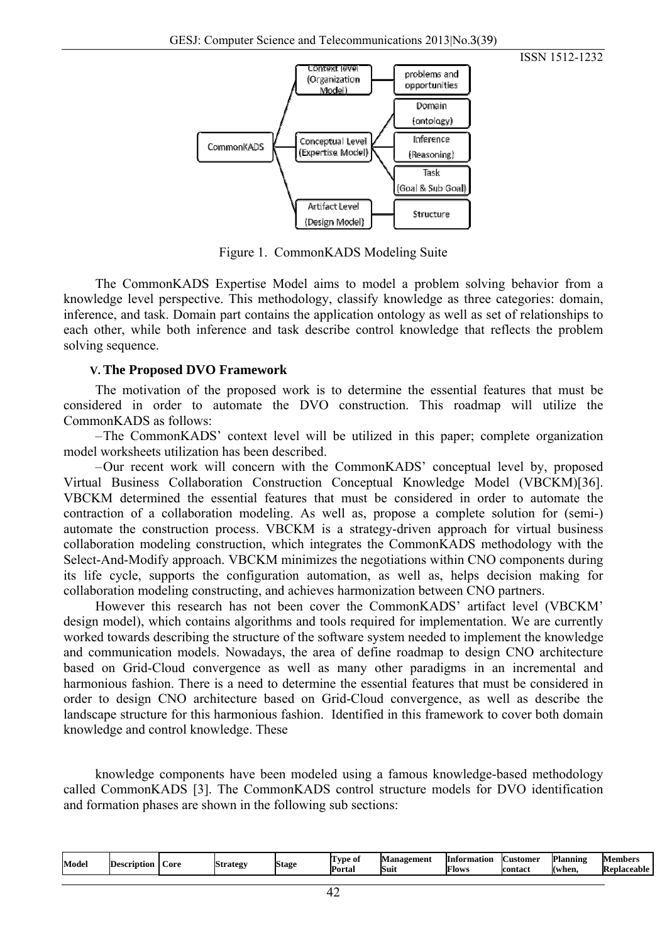



Figure 1. CommonKADS Modeling Suite

The CommonKADS Expertise Model aims to model a problem solving behavior from a knowledge level perspective. This methodology, classify knowledge as three categories: domain, inference, and task. Domain part contains the application ontology as well as set of relationships to each other, while both inference and task describe control knowledge that reflects the problem solving sequence.

#### **V. The Proposed DVO Framework**

The motivation of the proposed work is to determine the essential features that must be considered in order to automate the DVO construction. This roadmap will utilize the CommonKADS as follows:

–The CommonKADS' context level will be utilized in this paper; complete organization model worksheets utilization has been described.

–Our recent work will concern with the CommonKADS' conceptual level by, proposed Virtual Business Collaboration Construction Conceptual Knowledge Model (VBCKM)[36]. VBCKM determined the essential features that must be considered in order to automate the contraction of a collaboration modeling. As well as, propose a complete solution for (semi-) automate the construction process. VBCKM is a strategy-driven approach for virtual business collaboration modeling construction, which integrates the CommonKADS methodology with the Select-And-Modify approach. VBCKM minimizes the negotiations within CNO components during its life cycle, supports the configuration automation, as well as, helps decision making for collaboration modeling constructing, and achieves harmonization between CNO partners.

However this research has not been cover the CommonKADS' artifact level (VBCKM' design model), which contains algorithms and tools required for implementation. We are currently worked towards describing the structure of the software system needed to implement the knowledge and communication models. Nowadays, the area of define roadmap to design CNO architecture based on Grid-Cloud convergence as well as many other paradigms in an incremental and harmonious fashion. There is a need to determine the essential features that must be considered in order to design CNO architecture based on Grid-Cloud convergence, as well as describe the landscape structure for this harmonious fashion. Identified in this framework to cover both domain knowledge and control knowledge. These

knowledge components have been modeled using a famous knowledge-based methodology called CommonKADS [3]. The CommonKADS control structure models for DVO identification and formation phases are shown in the following sub sections:

| Planning<br><b>Management</b><br>Members<br>astomer<br>tvpe of<br>IInformation<br>Mode<br><b>Strategy</b><br><b>Stage</b><br>ID <sub>t</sub><br>ore<br>escription<br>Suit<br>Replaceable<br><b>Portal</b><br>Flows<br>contact<br>Kwhen. |
|-----------------------------------------------------------------------------------------------------------------------------------------------------------------------------------------------------------------------------------------|
|-----------------------------------------------------------------------------------------------------------------------------------------------------------------------------------------------------------------------------------------|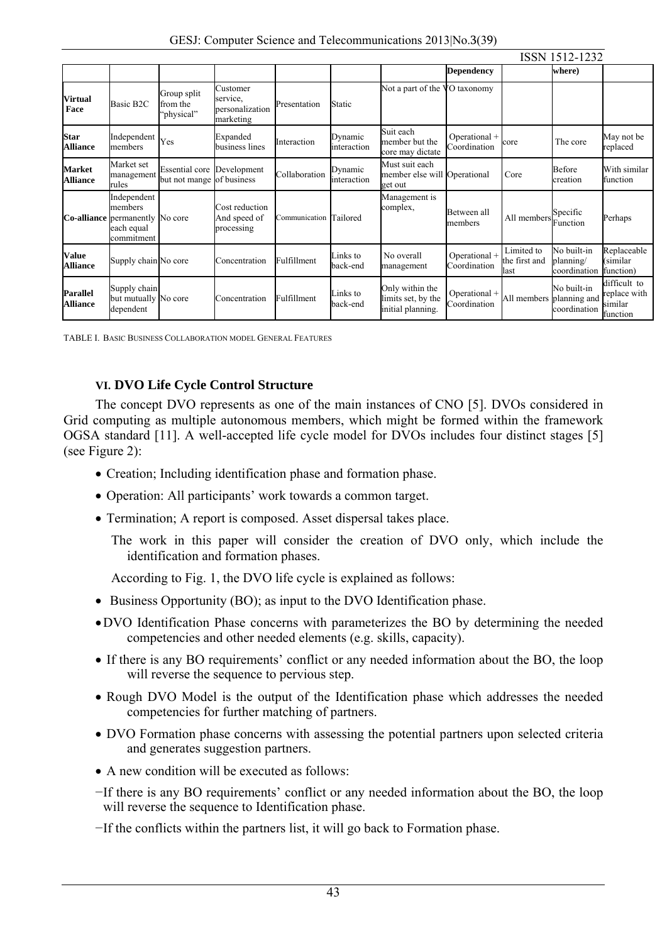|                                    |                                                                                              |                                                                |                                                      |                        |                        |                                                            | ISSN 1512-1232                |                                     |                                          |                                                     |  |
|------------------------------------|----------------------------------------------------------------------------------------------|----------------------------------------------------------------|------------------------------------------------------|------------------------|------------------------|------------------------------------------------------------|-------------------------------|-------------------------------------|------------------------------------------|-----------------------------------------------------|--|
|                                    |                                                                                              |                                                                |                                                      |                        |                        |                                                            | <b>Dependency</b>             |                                     | where)                                   |                                                     |  |
| <b>Virtual</b><br>Face             | Basic B <sub>2C</sub>                                                                        | Group split<br>from the<br>'physical"                          | Customer<br>service.<br>personalization<br>marketing | Presentation           | Static                 | Not a part of the                                          | VO taxonomy                   |                                     |                                          |                                                     |  |
| <b>Star</b><br><b>Alliance</b>     | Independent<br>members                                                                       | Yes                                                            | Expanded<br>business lines                           | Interaction            | Dynamic<br>interaction | Suit each<br>member but the<br>core may dictate            | Operational +<br>Coordination | core                                | The core                                 | May not be<br>replaced                              |  |
| <b>Market</b><br><b>Alliance</b>   | Market set<br>management<br>rules                                                            | <b>Essential core Development</b><br>but not mange of business |                                                      | Collaboration          | Dynamic<br>interaction | Must suit each<br>member else will Operational<br>get out  |                               | Core                                | Before<br>creation                       | With similar<br>function                            |  |
|                                    | Independent<br>members<br><b>Co-alliance</b> permanently No core<br>each equal<br>commitment |                                                                | Cost reduction<br>And speed of<br>processing         | Communication Tailored |                        | Management is<br>complex,                                  | Between all<br>members        | All members                         | Specific<br>Function                     | Perhaps                                             |  |
| <b>Value</b><br><b>Alliance</b>    | Supply chain No core                                                                         |                                                                | Concentration                                        | Fulfillment            | Links to<br>back-end   | No overall<br>management                                   | Operational +<br>Coordination | Limited to<br>the first and<br>last | No built-in<br>planning/<br>coordination | Replaceable<br>(similar<br>function)                |  |
| <b>Parallel</b><br><b>Alliance</b> | Supply chain<br>but mutually No core<br>dependent                                            |                                                                | Concentration                                        | Fulfillment            | Links to<br>back-end   | Only within the<br>limits set, by the<br>initial planning. | Operational +<br>Coordination | All members planning and            | No built-in<br>coordination              | difficult to<br>replace with<br>similar<br>function |  |

TABLE I. BASIC BUSINESS COLLABORATION MODEL GENERAL FEATURES

## **VI. DVO Life Cycle Control Structure**

The concept DVO represents as one of the main instances of CNO [5]. DVOs considered in Grid computing as multiple autonomous members, which might be formed within the framework OGSA standard [11]. A well-accepted life cycle model for DVOs includes four distinct stages [5] (see Figure 2):

- Creation; Including identification phase and formation phase.
- Operation: All participants' work towards a common target.
- Termination; A report is composed. Asset dispersal takes place.

The work in this paper will consider the creation of DVO only, which include the identification and formation phases.

According to Fig. 1, the DVO life cycle is explained as follows:

- Business Opportunity (BO); as input to the DVO Identification phase.
- •DVO Identification Phase concerns with parameterizes the BO by determining the needed competencies and other needed elements (e.g. skills, capacity).
- If there is any BO requirements' conflict or any needed information about the BO, the loop will reverse the sequence to pervious step.
- Rough DVO Model is the output of the Identification phase which addresses the needed competencies for further matching of partners.
- DVO Formation phase concerns with assessing the potential partners upon selected criteria and generates suggestion partners.
- A new condition will be executed as follows:
- −If there is any BO requirements' conflict or any needed information about the BO, the loop will reverse the sequence to Identification phase.
- −If the conflicts within the partners list, it will go back to Formation phase.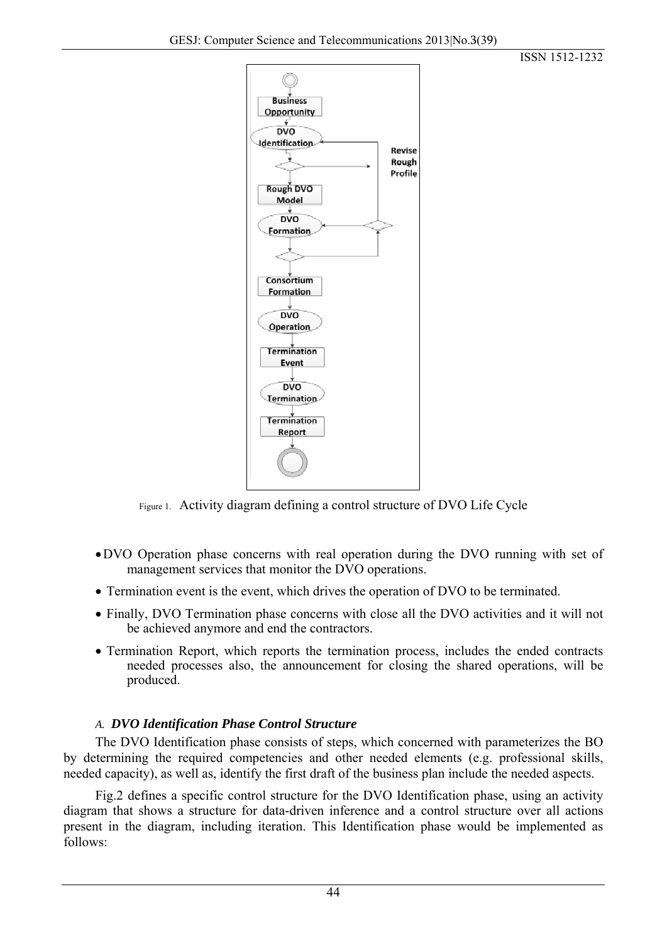



Figure 1. Activity diagram defining a control structure of DVO Life Cycle

- •DVO Operation phase concerns with real operation during the DVO running with set of management services that monitor the DVO operations.
- Termination event is the event, which drives the operation of DVO to be terminated.
- Finally, DVO Termination phase concerns with close all the DVO activities and it will not be achieved anymore and end the contractors.
- Termination Report, which reports the termination process, includes the ended contracts needed processes also, the announcement for closing the shared operations, will be produced.

# *A. DVO Identification Phase Control Structure*

The DVO Identification phase consists of steps, which concerned with parameterizes the BO by determining the required competencies and other needed elements (e.g. professional skills, needed capacity), as well as, identify the first draft of the business plan include the needed aspects.

Fig.2 defines a specific control structure for the DVO Identification phase, using an activity diagram that shows a structure for data-driven inference and a control structure over all actions present in the diagram, including iteration. This Identification phase would be implemented as follows: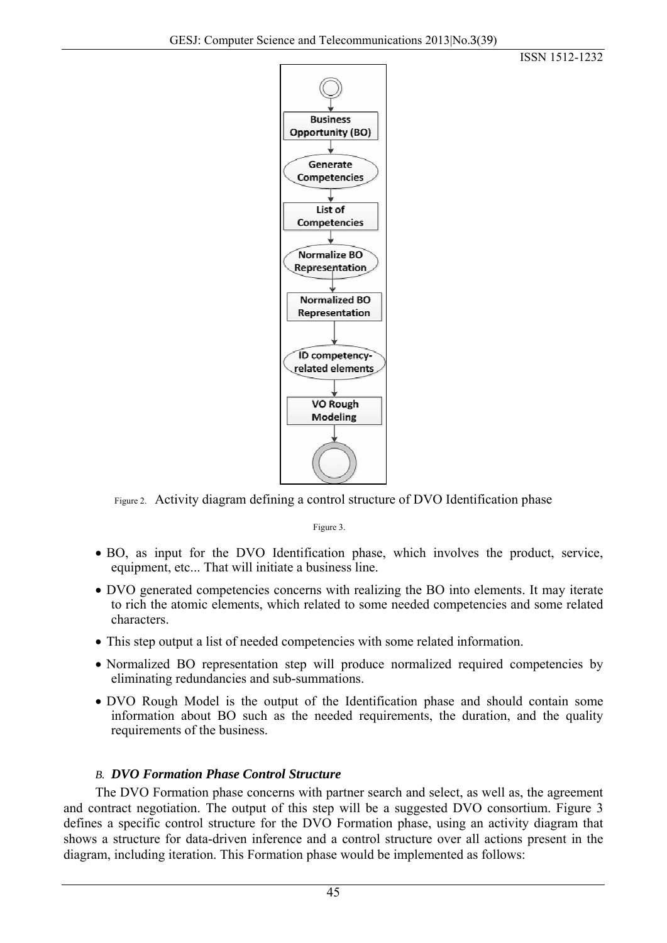



Figure 2. Activity diagram defining a control structure of DVO Identification phase

Figure 3.

- BO, as input for the DVO Identification phase, which involves the product, service, equipment, etc... That will initiate a business line.
- DVO generated competencies concerns with realizing the BO into elements. It may iterate to rich the atomic elements, which related to some needed competencies and some related characters.
- This step output a list of needed competencies with some related information.
- Normalized BO representation step will produce normalized required competencies by eliminating redundancies and sub-summations.
- DVO Rough Model is the output of the Identification phase and should contain some information about BO such as the needed requirements, the duration, and the quality requirements of the business.

# *B. DVO Formation Phase Control Structure*

The DVO Formation phase concerns with partner search and select, as well as, the agreement and contract negotiation. The output of this step will be a suggested DVO consortium. Figure 3 defines a specific control structure for the DVO Formation phase, using an activity diagram that shows a structure for data-driven inference and a control structure over all actions present in the diagram, including iteration. This Formation phase would be implemented as follows: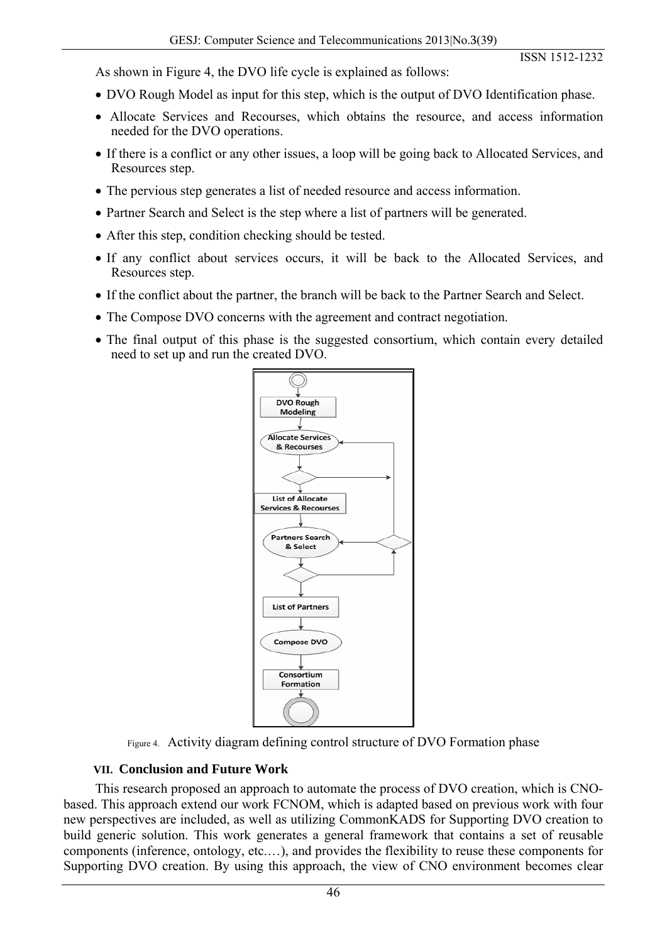As shown in Figure 4, the DVO life cycle is explained as follows:

- DVO Rough Model as input for this step, which is the output of DVO Identification phase.
- Allocate Services and Recourses, which obtains the resource, and access information needed for the DVO operations.
- If there is a conflict or any other issues, a loop will be going back to Allocated Services, and Resources step.
- The pervious step generates a list of needed resource and access information.
- Partner Search and Select is the step where a list of partners will be generated.
- After this step, condition checking should be tested.
- If any conflict about services occurs, it will be back to the Allocated Services, and Resources step.
- If the conflict about the partner, the branch will be back to the Partner Search and Select.
- The Compose DVO concerns with the agreement and contract negotiation.
- The final output of this phase is the suggested consortium, which contain every detailed need to set up and run the created DVO.



Figure 4. Activity diagram defining control structure of DVO Formation phase

### **VII. Conclusion and Future Work**

This research proposed an approach to automate the process of DVO creation, which is CNObased. This approach extend our work FCNOM, which is adapted based on previous work with four new perspectives are included, as well as utilizing CommonKADS for Supporting DVO creation to build generic solution. This work generates a general framework that contains a set of reusable components (inference, ontology, etc.…), and provides the flexibility to reuse these components for Supporting DVO creation. By using this approach, the view of CNO environment becomes clear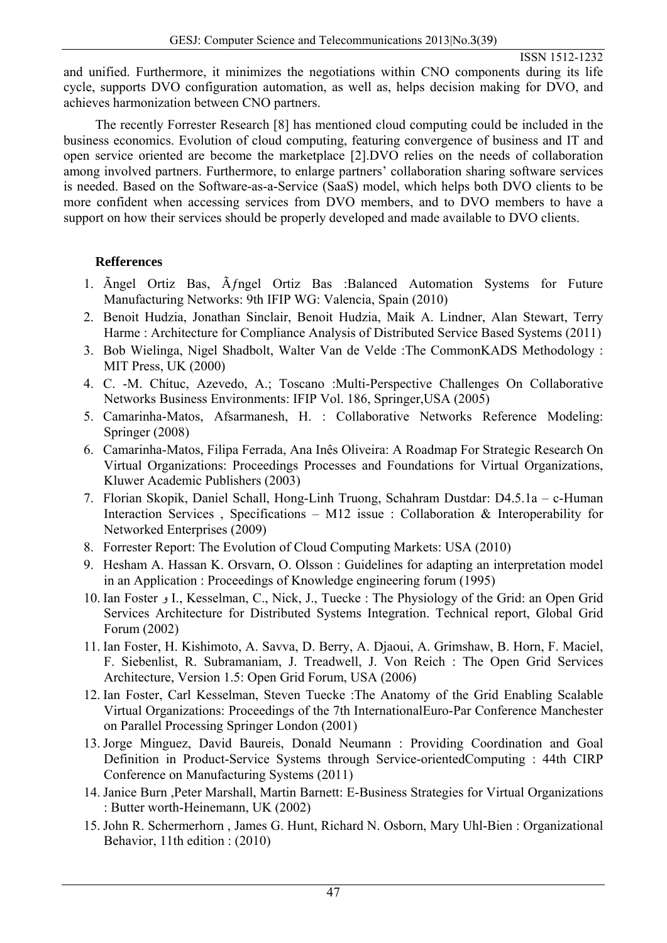and unified. Furthermore, it minimizes the negotiations within CNO components during its life cycle, supports DVO configuration automation, as well as, helps decision making for DVO, and achieves harmonization between CNO partners.

The recently Forrester Research [8] has mentioned cloud computing could be included in the business economics. Evolution of cloud computing, featuring convergence of business and IT and open service oriented are become the marketplace [2].DVO relies on the needs of collaboration among involved partners. Furthermore, to enlarge partners' collaboration sharing software services is needed. Based on the Software-as-a-Service (SaaS) model, which helps both DVO clients to be more confident when accessing services from DVO members, and to DVO members to have a support on how their services should be properly developed and made available to DVO clients.

## **Refferences**

- 1. Ängel Ortiz Bas, Äfngel Ortiz Bas :Balanced Automation Systems for Future Manufacturing Networks: 9th IFIP WG: Valencia, Spain (2010)
- 2. Benoit Hudzia, Jonathan Sinclair, Benoit Hudzia, Maik A. Lindner, Alan Stewart, Terry Harme : Architecture for Compliance Analysis of Distributed Service Based Systems (2011)
- 3. Bob Wielinga, Nigel Shadbolt, Walter Van de Velde :The CommonKADS Methodology : MIT Press, UK (2000)
- 4. C. -M. Chituc, Azevedo, A.; Toscano :Multi-Perspective Challenges On Collaborative Networks Business Environments: IFIP Vol. 186, Springer,USA (2005)
- 5. Camarinha-Matos, Afsarmanesh, H. : Collaborative Networks Reference Modeling: Springer (2008)
- 6. Camarinha-Matos, Filipa Ferrada, Ana Inês Oliveira: A Roadmap For Strategic Research On Virtual Organizations: Proceedings Processes and Foundations for Virtual Organizations, Kluwer Academic Publishers (2003)
- 7. Florian Skopik, Daniel Schall, Hong-Linh Truong, Schahram Dustdar: D4.5.1a c-Human Interaction Services, Specifications – M12 issue : Collaboration & Interoperability for Networked Enterprises (2009)
- 8. Forrester Report: The Evolution of Cloud Computing Markets: USA (2010)
- 9. Hesham A. Hassan K. Orsvarn, O. Olsson : Guidelines for adapting an interpretation model in an Application : Proceedings of Knowledge engineering forum (1995)
- 10. Ian Foster و I., Kesselman, C., Nick, J., Tuecke : The Physiology of the Grid: an Open Grid Services Architecture for Distributed Systems Integration. Technical report, Global Grid Forum (2002)
- 11. Ian Foster, H. Kishimoto, A. Savva, D. Berry, A. Djaoui, A. Grimshaw, B. Horn, F. Maciel, F. Siebenlist, R. Subramaniam, J. Treadwell, J. Von Reich : The Open Grid Services Architecture, Version 1.5: Open Grid Forum, USA (2006)
- 12. Ian Foster, Carl Kesselman, Steven Tuecke :The Anatomy of the Grid Enabling Scalable Virtual Organizations: Proceedings of the 7th InternationalEuro-Par Conference Manchester on Parallel Processing Springer London (2001)
- 13. Jorge Minguez, David Baureis, Donald Neumann : Providing Coordination and Goal Definition in Product-Service Systems through Service-orientedComputing : 44th CIRP Conference on Manufacturing Systems (2011)
- 14. Janice Burn ,Peter Marshall, Martin Barnett: E-Business Strategies for Virtual Organizations : Butter worth-Heinemann, UK (2002)
- 15. John R. Schermerhorn , James G. Hunt, Richard N. Osborn, Mary Uhl-Bien : Organizational Behavior, 11th edition : (2010)